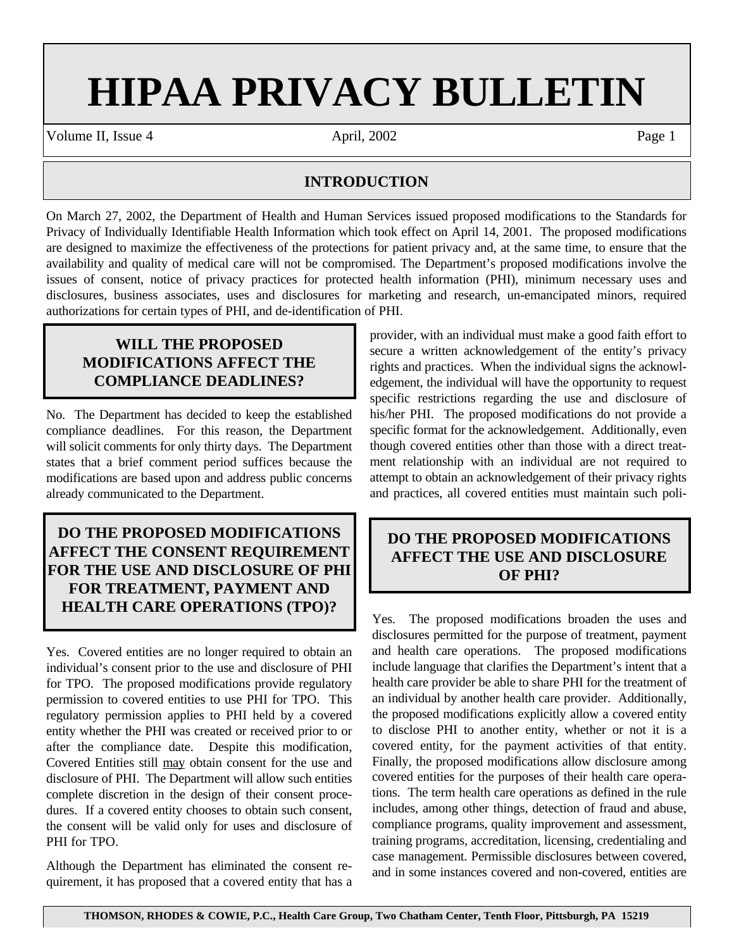# **HIPAA PRIVACY BULLETIN**

Volume II, Issue 4 **April, 2002** Page 1

#### **INTRODUCTION**

On March 27, 2002, the Department of Health and Human Services issued proposed modifications to the Standards for Privacy of Individually Identifiable Health Information which took effect on April 14, 2001. The proposed modifications are designed to maximize the effectiveness of the protections for patient privacy and, at the same time, to ensure that the availability and quality of medical care will not be compromised. The Department's proposed modifications involve the issues of consent, notice of privacy practices for protected health information (PHI), minimum necessary uses and disclosures, business associates, uses and disclosures for marketing and research, un-emancipated minors, required authorizations for certain types of PHI, and de-identification of PHI.

## **WILL THE PROPOSED MODIFICATIONS AFFECT THE COMPLIANCE DEADLINES?**

No. The Department has decided to keep the established compliance deadlines. For this reason, the Department will solicit comments for only thirty days. The Department states that a brief comment period suffices because the modifications are based upon and address public concerns already communicated to the Department.

## **DO THE PROPOSED MODIFICATIONS AFFECT THE CONSENT REQUIREMENT FOR THE USE AND DISCLOSURE OF PHI FOR TREATMENT, PAYMENT AND HEALTH CARE OPERATIONS (TPO)?**

Yes. Covered entities are no longer required to obtain an individual's consent prior to the use and disclosure of PHI for TPO. The proposed modifications provide regulatory permission to covered entities to use PHI for TPO. This regulatory permission applies to PHI held by a covered entity whether the PHI was created or received prior to or after the compliance date. Despite this modification, Covered Entities still may obtain consent for the use and disclosure of PHI. The Department will allow such entities complete discretion in the design of their consent procedures. If a covered entity chooses to obtain such consent, the consent will be valid only for uses and disclosure of PHI for TPO.

Although the Department has eliminated the consent requirement, it has proposed that a covered entity that has a provider, with an individual must make a good faith effort to secure a written acknowledgement of the entity's privacy rights and practices. When the individual signs the acknowledgement, the individual will have the opportunity to request specific restrictions regarding the use and disclosure of his/her PHI. The proposed modifications do not provide a specific format for the acknowledgement. Additionally, even though covered entities other than those with a direct treatment relationship with an individual are not required to attempt to obtain an acknowledgement of their privacy rights and practices, all covered entities must maintain such poli-

# **DO THE PROPOSED MODIFICATIONS AFFECT THE USE AND DISCLOSURE OF PHI?**

Yes. The proposed modifications broaden the uses and disclosures permitted for the purpose of treatment, payment and health care operations. The proposed modifications include language that clarifies the Department's intent that a health care provider be able to share PHI for the treatment of an individual by another health care provider. Additionally, the proposed modifications explicitly allow a covered entity to disclose PHI to another entity, whether or not it is a covered entity, for the payment activities of that entity. Finally, the proposed modifications allow disclosure among covered entities for the purposes of their health care operations. The term health care operations as defined in the rule includes, among other things, detection of fraud and abuse, compliance programs, quality improvement and assessment, training programs, accreditation, licensing, credentialing and case management. Permissible disclosures between covered, and in some instances covered and non-covered, entities are